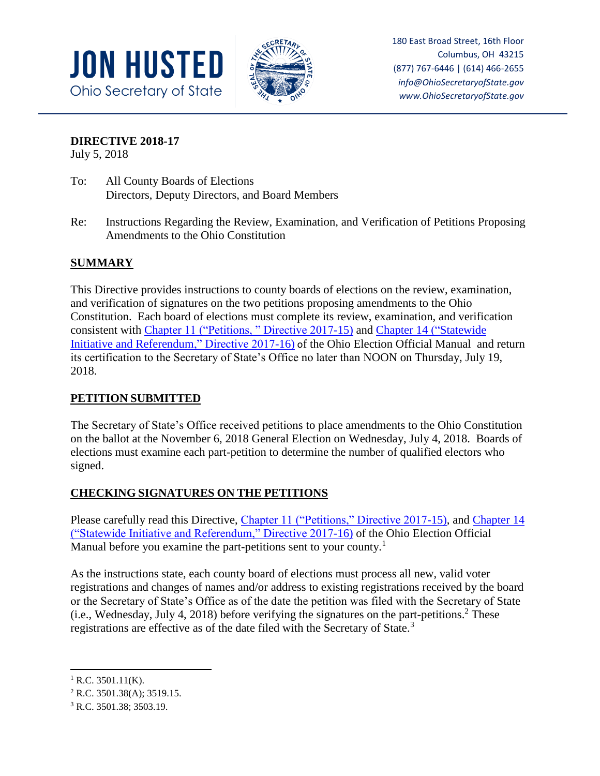



180 East Broad Street, 16th Floor Columbus, OH 43215 (877) 767-6446 | (614) 466-2655 *info@OhioSecretaryofState.gov www.OhioSecretaryofState.gov*

### **DIRECTIVE 2018-17**

July 5, 2018

- To: All County Boards of Elections Directors, Deputy Directors, and Board Members
- Re: Instructions Regarding the Review, Examination, and Verification of Petitions Proposing Amendments to the Ohio Constitution

# **SUMMARY**

This Directive provides instructions to county boards of elections on the review, examination, and verification of signatures on the two petitions proposing amendments to the Ohio Constitution. Each board of elections must complete its review, examination, and verification consistent with [Chapter 11 \("Petitions, " Directive 2017-15\)](https://www.sos.state.oh.us/globalassets/elections/directives/2017/dir2017-15_eom_ch_11.pdf) and Chapter 14 [\("Statewide](https://www.sos.state.oh.us/globalassets/elections/directives/2017/dir2017-16_eom_ch_14.pdf)  [Initiative and Referendum," Directive 2017-16\)](https://www.sos.state.oh.us/globalassets/elections/directives/2017/dir2017-16_eom_ch_14.pdf) of the Ohio Election Official Manual and return its certification to the Secretary of State's Office no later than NOON on Thursday, July 19, 2018.

# **PETITION SUBMITTED**

The Secretary of State's Office received petitions to place amendments to the Ohio Constitution on the ballot at the November 6, 2018 General Election on Wednesday, July 4, 2018. Boards of elections must examine each part-petition to determine the number of qualified electors who signed.

# **CHECKING SIGNATURES ON THE PETITIONS**

Please carefully read this Directive, [Chapter 11 \("Petitions," Directive 2017-15\),](https://www.sos.state.oh.us/globalassets/elections/directives/2017/dir2017-15_eom_ch_11.pdf) and Chapter 14 [\("Statewide Initiative and Referendum," Directive 2017-16\)](https://www.sos.state.oh.us/globalassets/elections/directives/2017/dir2017-16_eom_ch_14.pdf) of the Ohio Election Official Manual before you examine the part-petitions sent to your county.<sup>1</sup>

As the instructions state, each county board of elections must process all new, valid voter registrations and changes of names and/or address to existing registrations received by the board or the Secretary of State's Office as of the date the petition was filed with the Secretary of State (i.e., Wednesday, July 4, 2018) before verifying the signatures on the part-petitions.<sup>2</sup> These registrations are effective as of the date filed with the Secretary of State.<sup>3</sup>

<sup>2</sup> R.C. 3501.38(A); 3519.15.

 $\overline{\phantom{a}}$  $1$  R.C. 3501.11(K).

<sup>3</sup> R.C. 3501.38; 3503.19.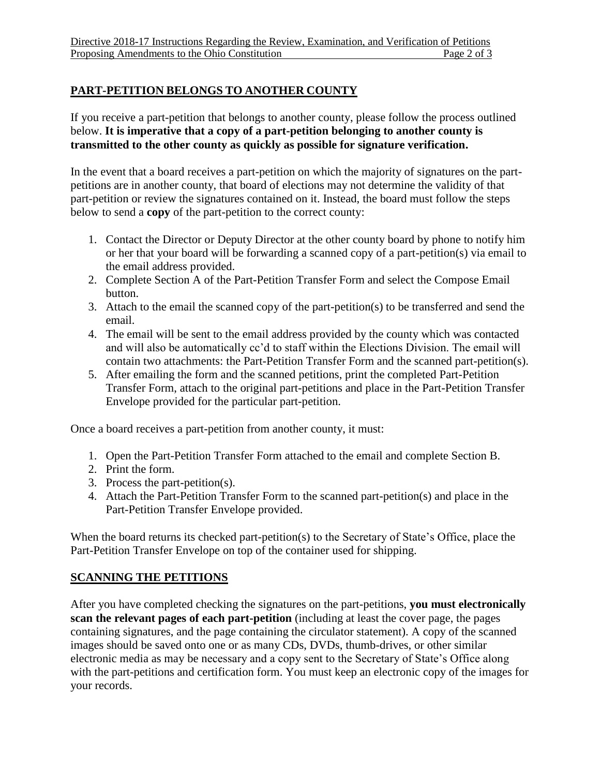### **PART-PETITION BELONGS TO ANOTHER COUNTY**

If you receive a part-petition that belongs to another county, please follow the process outlined below. **It is imperative that a copy of a part-petition belonging to another county is transmitted to the other county as quickly as possible for signature verification.** 

In the event that a board receives a part-petition on which the majority of signatures on the partpetitions are in another county, that board of elections may not determine the validity of that part-petition or review the signatures contained on it. Instead, the board must follow the steps below to send a **copy** of the part-petition to the correct county:

- 1. Contact the Director or Deputy Director at the other county board by phone to notify him or her that your board will be forwarding a scanned copy of a part-petition(s) via email to the email address provided.
- 2. Complete Section A of the Part-Petition Transfer Form and select the Compose Email button.
- 3. Attach to the email the scanned copy of the part-petition(s) to be transferred and send the email.
- 4. The email will be sent to the email address provided by the county which was contacted and will also be automatically cc'd to staff within the Elections Division. The email will contain two attachments: the Part-Petition Transfer Form and the scanned part-petition(s).
- 5. After emailing the form and the scanned petitions, print the completed Part-Petition Transfer Form, attach to the original part-petitions and place in the Part-Petition Transfer Envelope provided for the particular part-petition.

Once a board receives a part-petition from another county, it must:

- 1. Open the Part-Petition Transfer Form attached to the email and complete Section B.
- 2. Print the form.
- 3. Process the part-petition(s).
- 4. Attach the Part-Petition Transfer Form to the scanned part-petition(s) and place in the Part-Petition Transfer Envelope provided.

When the board returns its checked part-petition(s) to the Secretary of State's Office, place the Part-Petition Transfer Envelope on top of the container used for shipping.

# **SCANNING THE PETITIONS**

After you have completed checking the signatures on the part-petitions, **you must electronically scan the relevant pages of each part-petition** (including at least the cover page, the pages containing signatures, and the page containing the circulator statement). A copy of the scanned images should be saved onto one or as many CDs, DVDs, thumb-drives, or other similar electronic media as may be necessary and a copy sent to the Secretary of State's Office along with the part-petitions and certification form. You must keep an electronic copy of the images for your records.